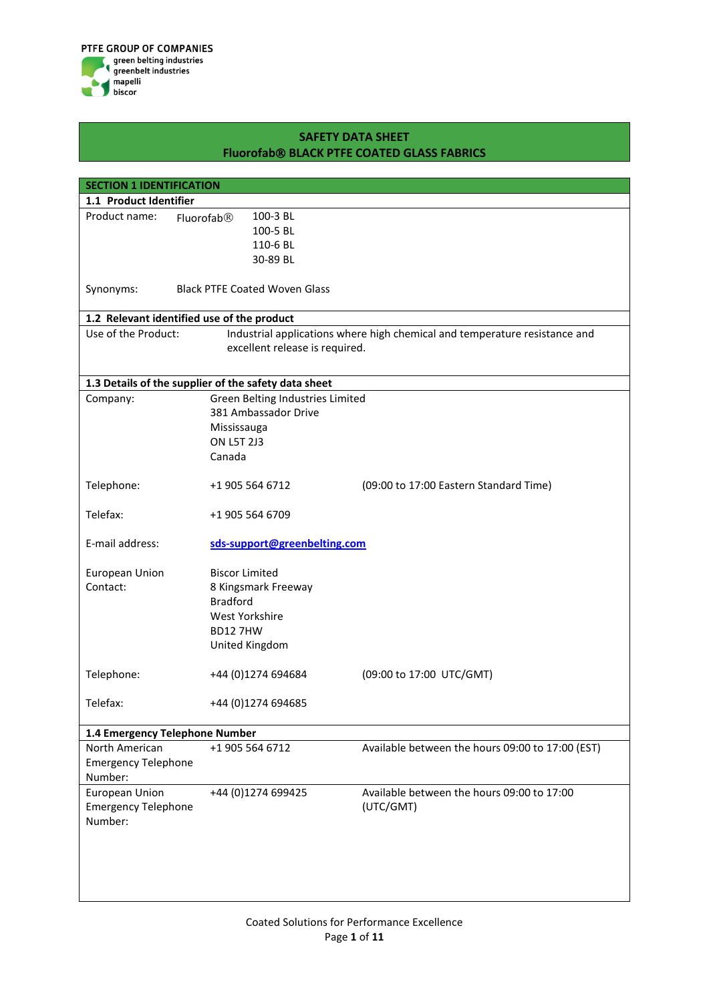| <b>SECTION 1 IDENTIFICATION</b>            |                                                                                          |                                                                            |
|--------------------------------------------|------------------------------------------------------------------------------------------|----------------------------------------------------------------------------|
| 1.1 Product Identifier                     |                                                                                          |                                                                            |
| Product name:                              | 100-3 BL<br>Fluorofab®                                                                   |                                                                            |
|                                            | 100-5 BL                                                                                 |                                                                            |
|                                            | 110-6 BL                                                                                 |                                                                            |
|                                            | 30-89 BL                                                                                 |                                                                            |
|                                            |                                                                                          |                                                                            |
| Synonyms:                                  | <b>Black PTFE Coated Woven Glass</b>                                                     |                                                                            |
| 1.2 Relevant identified use of the product |                                                                                          |                                                                            |
| Use of the Product:                        |                                                                                          | Industrial applications where high chemical and temperature resistance and |
|                                            | excellent release is required.                                                           |                                                                            |
|                                            |                                                                                          |                                                                            |
|                                            |                                                                                          |                                                                            |
|                                            | 1.3 Details of the supplier of the safety data sheet<br>Green Belting Industries Limited |                                                                            |
| Company:                                   | 381 Ambassador Drive                                                                     |                                                                            |
|                                            | Mississauga                                                                              |                                                                            |
|                                            | <b>ON L5T 2J3</b>                                                                        |                                                                            |
|                                            | Canada                                                                                   |                                                                            |
|                                            |                                                                                          |                                                                            |
| Telephone:                                 | +1 905 564 6712                                                                          | (09:00 to 17:00 Eastern Standard Time)                                     |
|                                            |                                                                                          |                                                                            |
| Telefax:                                   | +1 905 564 6709                                                                          |                                                                            |
|                                            |                                                                                          |                                                                            |
| E-mail address:                            | sds-support@greenbelting.com                                                             |                                                                            |
| European Union                             | <b>Biscor Limited</b>                                                                    |                                                                            |
| Contact:                                   | 8 Kingsmark Freeway                                                                      |                                                                            |
|                                            | <b>Bradford</b>                                                                          |                                                                            |
|                                            | West Yorkshire                                                                           |                                                                            |
|                                            | <b>BD127HW</b>                                                                           |                                                                            |
|                                            | United Kingdom                                                                           |                                                                            |
|                                            |                                                                                          |                                                                            |
| Telephone:                                 | +44 (0)1274 694684                                                                       | (09:00 to 17:00 UTC/GMT)                                                   |
|                                            |                                                                                          |                                                                            |
| Telefax:                                   | +44 (0)1274 694685                                                                       |                                                                            |
|                                            |                                                                                          |                                                                            |
| 1.4 Emergency Telephone Number             |                                                                                          |                                                                            |
| North American                             | +1 905 564 6712                                                                          | Available between the hours 09:00 to 17:00 (EST)                           |
| <b>Emergency Telephone</b>                 |                                                                                          |                                                                            |
| Number:                                    |                                                                                          |                                                                            |
| European Union                             | +44 (0)1274 699425                                                                       | Available between the hours 09:00 to 17:00                                 |
| <b>Emergency Telephone</b>                 |                                                                                          | (UTC/GMT)                                                                  |
| Number:                                    |                                                                                          |                                                                            |
|                                            |                                                                                          |                                                                            |
|                                            |                                                                                          |                                                                            |
|                                            |                                                                                          |                                                                            |
|                                            |                                                                                          |                                                                            |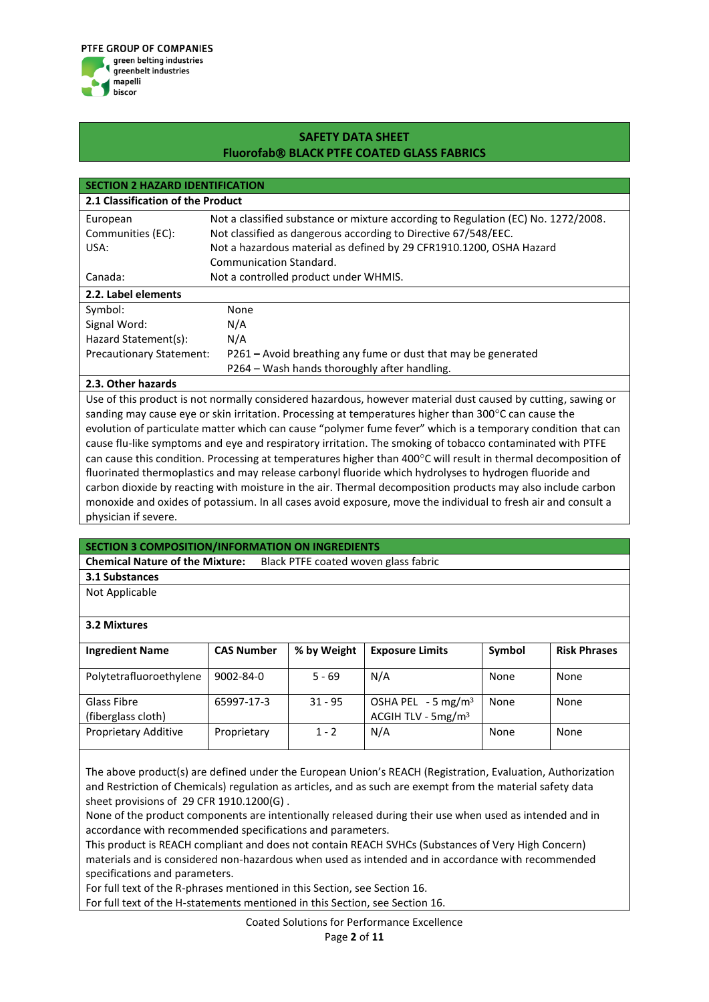

| <b>SECTION 2 HAZARD IDENTIFICATION</b> |                                                                                   |  |  |  |
|----------------------------------------|-----------------------------------------------------------------------------------|--|--|--|
| 2.1 Classification of the Product      |                                                                                   |  |  |  |
| European                               | Not a classified substance or mixture according to Regulation (EC) No. 1272/2008. |  |  |  |
| Communities (EC):                      | Not classified as dangerous according to Directive 67/548/EEC.                    |  |  |  |
| USA:                                   | Not a hazardous material as defined by 29 CFR1910.1200, OSHA Hazard               |  |  |  |
|                                        | Communication Standard.                                                           |  |  |  |
| Canada:                                | Not a controlled product under WHMIS.                                             |  |  |  |
| 2.2. Label elements                    |                                                                                   |  |  |  |
| Symbol:                                | None                                                                              |  |  |  |
| Signal Word:                           | N/A                                                                               |  |  |  |
| Hazard Statement(s):                   | N/A                                                                               |  |  |  |
| <b>Precautionary Statement:</b>        | P261 – Avoid breathing any fume or dust that may be generated                     |  |  |  |
|                                        | P264 – Wash hands thoroughly after handling.                                      |  |  |  |

### **2.3. Other hazards**

Use of this product is not normally considered hazardous, however material dust caused by cutting, sawing or sanding may cause eye or skin irritation. Processing at temperatures higher than 300 $^{\circ}$ C can cause the evolution of particulate matter which can cause "polymer fume fever" which is a temporary condition that can cause flu-like symptoms and eye and respiratory irritation. The smoking of tobacco contaminated with PTFE can cause this condition. Processing at temperatures higher than 400°C will result in thermal decomposition of fluorinated thermoplastics and may release carbonyl fluoride which hydrolyses to hydrogen fluoride and carbon dioxide by reacting with moisture in the air. Thermal decomposition products may also include carbon monoxide and oxides of potassium. In all cases avoid exposure, move the individual to fresh air and consult a physician if severe.

#### **SECTION 3 COMPOSITION/INFORMATION ON INGREDIENTS**

**Chemical Nature of the Mixture:** Black PTFE coated woven glass fabric

## **3.1 Substances**

Not Applicable

#### **3.2 Mixtures**

| <b>Ingredient Name</b>            | <b>CAS Number</b> | % by Weight | <b>Exposure Limits</b>                                  | Symbol | <b>Risk Phrases</b> |
|-----------------------------------|-------------------|-------------|---------------------------------------------------------|--------|---------------------|
| Polytetrafluoroethylene           | $9002 - 84 - 0$   | $5 - 69$    | N/A                                                     | None   | None                |
| Glass Fibre<br>(fiberglass cloth) | 65997-17-3        | $31 - 95$   | OSHA PEL $-5$ mg/m <sup>3</sup><br>ACGIH TLV - $5mg/m3$ | None   | None                |
| Proprietary Additive              | Proprietary       | $1 - 2$     | N/A                                                     | None   | None                |

The above product(s) are defined under the European Union's REACH (Registration, Evaluation, Authorization and Restriction of Chemicals) regulation as articles, and as such are exempt from the material safety data sheet provisions of 29 CFR 1910.1200(G) .

None of the product components are intentionally released during their use when used as intended and in accordance with recommended specifications and parameters.

This product is REACH compliant and does not contain REACH SVHCs (Substances of Very High Concern) materials and is considered non-hazardous when used as intended and in accordance with recommended specifications and parameters.

For full text of the R-phrases mentioned in this Section, see Section 16.

For full text of the H-statements mentioned in this Section, see Section 16.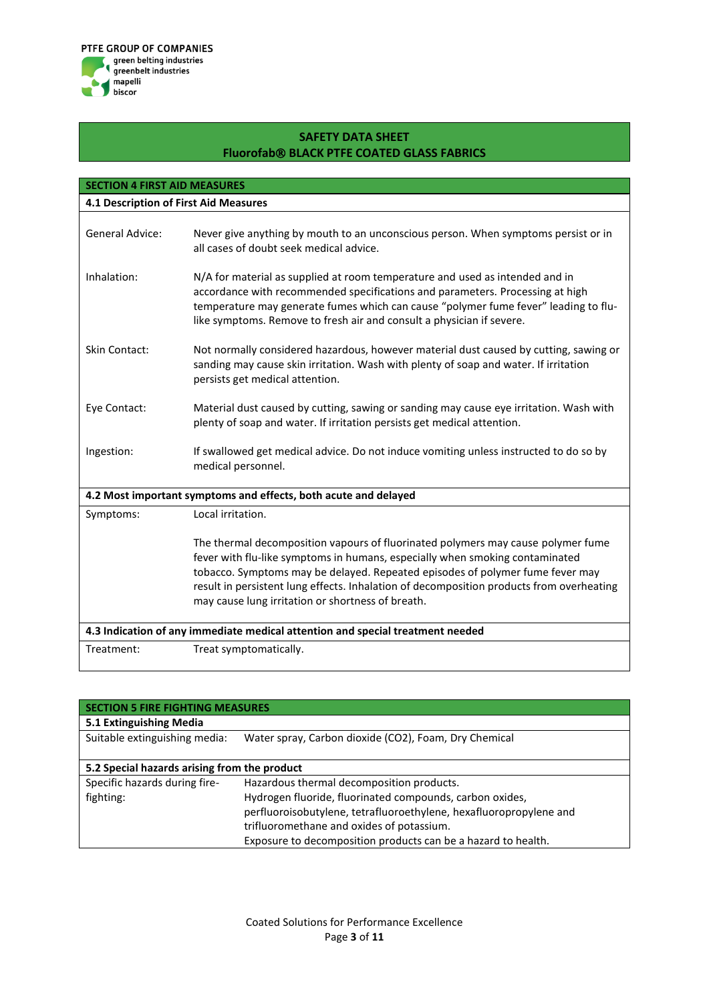

| <b>SECTION 4 FIRST AID MEASURES</b>                                            |                                                                                                                                                                                                                                                                                                                                                                                                    |  |  |
|--------------------------------------------------------------------------------|----------------------------------------------------------------------------------------------------------------------------------------------------------------------------------------------------------------------------------------------------------------------------------------------------------------------------------------------------------------------------------------------------|--|--|
| 4.1 Description of First Aid Measures                                          |                                                                                                                                                                                                                                                                                                                                                                                                    |  |  |
|                                                                                |                                                                                                                                                                                                                                                                                                                                                                                                    |  |  |
| <b>General Advice:</b>                                                         | Never give anything by mouth to an unconscious person. When symptoms persist or in<br>all cases of doubt seek medical advice.                                                                                                                                                                                                                                                                      |  |  |
| Inhalation:                                                                    | N/A for material as supplied at room temperature and used as intended and in<br>accordance with recommended specifications and parameters. Processing at high<br>temperature may generate fumes which can cause "polymer fume fever" leading to flu-<br>like symptoms. Remove to fresh air and consult a physician if severe.                                                                      |  |  |
| <b>Skin Contact:</b>                                                           | Not normally considered hazardous, however material dust caused by cutting, sawing or<br>sanding may cause skin irritation. Wash with plenty of soap and water. If irritation<br>persists get medical attention.                                                                                                                                                                                   |  |  |
| Eye Contact:                                                                   | Material dust caused by cutting, sawing or sanding may cause eye irritation. Wash with<br>plenty of soap and water. If irritation persists get medical attention.                                                                                                                                                                                                                                  |  |  |
| Ingestion:                                                                     | If swallowed get medical advice. Do not induce vomiting unless instructed to do so by<br>medical personnel.                                                                                                                                                                                                                                                                                        |  |  |
|                                                                                | 4.2 Most important symptoms and effects, both acute and delayed                                                                                                                                                                                                                                                                                                                                    |  |  |
| Symptoms:                                                                      | Local irritation.                                                                                                                                                                                                                                                                                                                                                                                  |  |  |
|                                                                                | The thermal decomposition vapours of fluorinated polymers may cause polymer fume<br>fever with flu-like symptoms in humans, especially when smoking contaminated<br>tobacco. Symptoms may be delayed. Repeated episodes of polymer fume fever may<br>result in persistent lung effects. Inhalation of decomposition products from overheating<br>may cause lung irritation or shortness of breath. |  |  |
| 4.3 Indication of any immediate medical attention and special treatment needed |                                                                                                                                                                                                                                                                                                                                                                                                    |  |  |
| Treatment:                                                                     | Treat symptomatically.                                                                                                                                                                                                                                                                                                                                                                             |  |  |

| <b>SECTION 5 FIRE FIGHTING MEASURES</b>      |                                                                    |  |  |  |
|----------------------------------------------|--------------------------------------------------------------------|--|--|--|
| 5.1 Extinguishing Media                      |                                                                    |  |  |  |
| Suitable extinguishing media:                | Water spray, Carbon dioxide (CO2), Foam, Dry Chemical              |  |  |  |
|                                              |                                                                    |  |  |  |
| 5.2 Special hazards arising from the product |                                                                    |  |  |  |
| Specific hazards during fire-                | Hazardous thermal decomposition products.                          |  |  |  |
| fighting:                                    | Hydrogen fluoride, fluorinated compounds, carbon oxides,           |  |  |  |
|                                              | perfluoroisobutylene, tetrafluoroethylene, hexafluoropropylene and |  |  |  |
|                                              | trifluoromethane and oxides of potassium.                          |  |  |  |
|                                              | Exposure to decomposition products can be a hazard to health.      |  |  |  |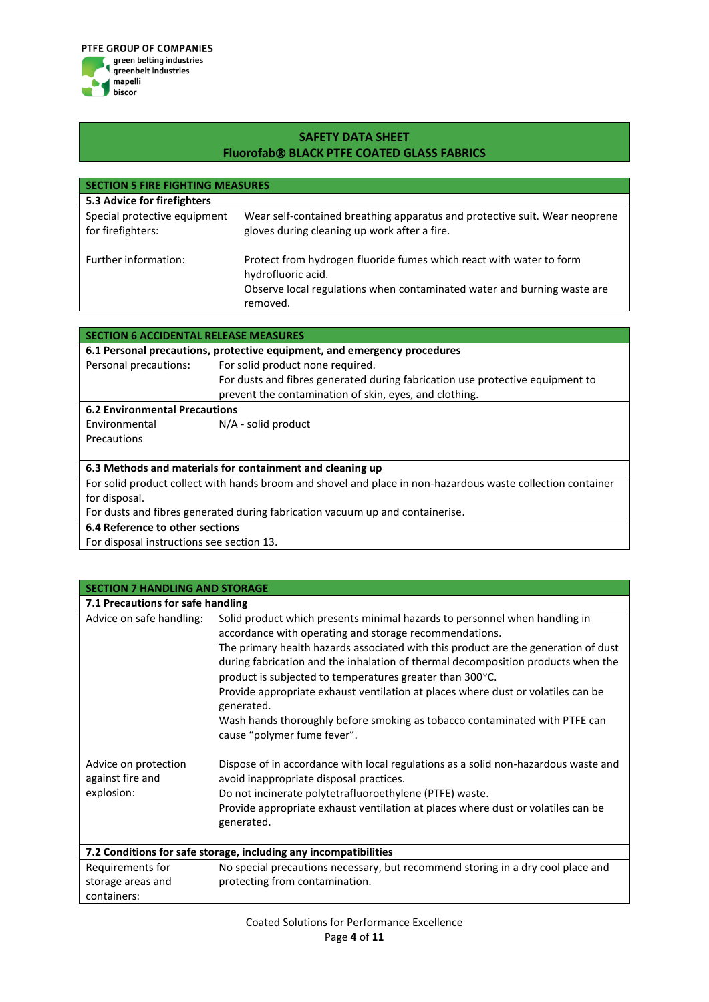

| <b>SECTION 5 FIRE FIGHTING MEASURES</b>           |                                                                                                                                                                                  |  |  |  |
|---------------------------------------------------|----------------------------------------------------------------------------------------------------------------------------------------------------------------------------------|--|--|--|
| 5.3 Advice for firefighters                       |                                                                                                                                                                                  |  |  |  |
| Special protective equipment<br>for firefighters: | Wear self-contained breathing apparatus and protective suit. Wear neoprene<br>gloves during cleaning up work after a fire.                                                       |  |  |  |
| Further information:                              | Protect from hydrogen fluoride fumes which react with water to form<br>hydrofluoric acid.<br>Observe local regulations when contaminated water and burning waste are<br>removed. |  |  |  |

| SECTION 6 ACCIDENTAL RELEASE MEASURES                                         |                                                                                                             |  |  |  |
|-------------------------------------------------------------------------------|-------------------------------------------------------------------------------------------------------------|--|--|--|
|                                                                               | 6.1 Personal precautions, protective equipment, and emergency procedures                                    |  |  |  |
| Personal precautions:                                                         | For solid product none required.                                                                            |  |  |  |
|                                                                               | For dusts and fibres generated during fabrication use protective equipment to                               |  |  |  |
|                                                                               | prevent the contamination of skin, eyes, and clothing.                                                      |  |  |  |
| <b>6.2 Environmental Precautions</b>                                          |                                                                                                             |  |  |  |
| Environmental                                                                 | $N/A$ - solid product                                                                                       |  |  |  |
| Precautions                                                                   |                                                                                                             |  |  |  |
|                                                                               |                                                                                                             |  |  |  |
| 6.3 Methods and materials for containment and cleaning up                     |                                                                                                             |  |  |  |
|                                                                               | For solid product collect with hands broom and shovel and place in non-hazardous waste collection container |  |  |  |
| for disposal.                                                                 |                                                                                                             |  |  |  |
| For dusts and fibres generated during fabrication vacuum up and containerise. |                                                                                                             |  |  |  |
| 6.4 Reference to other sections                                               |                                                                                                             |  |  |  |
| For disposal instructions see section 13.                                     |                                                                                                             |  |  |  |

For disposal instructions see section 13.

| <b>SECTION 7 HANDLING AND STORAGE</b>                            |                                                                                                                                                                                                                                                                                                                                                                                                                                                                              |  |  |
|------------------------------------------------------------------|------------------------------------------------------------------------------------------------------------------------------------------------------------------------------------------------------------------------------------------------------------------------------------------------------------------------------------------------------------------------------------------------------------------------------------------------------------------------------|--|--|
| 7.1 Precautions for safe handling                                |                                                                                                                                                                                                                                                                                                                                                                                                                                                                              |  |  |
| Advice on safe handling:                                         | Solid product which presents minimal hazards to personnel when handling in<br>accordance with operating and storage recommendations.<br>The primary health hazards associated with this product are the generation of dust<br>during fabrication and the inhalation of thermal decomposition products when the<br>product is subjected to temperatures greater than 300°C.<br>Provide appropriate exhaust ventilation at places where dust or volatiles can be<br>generated. |  |  |
|                                                                  | Wash hands thoroughly before smoking as tobacco contaminated with PTFE can<br>cause "polymer fume fever".                                                                                                                                                                                                                                                                                                                                                                    |  |  |
| Advice on protection<br>against fire and<br>explosion:           | Dispose of in accordance with local regulations as a solid non-hazardous waste and<br>avoid inappropriate disposal practices.<br>Do not incinerate polytetrafluoroethylene (PTFE) waste.                                                                                                                                                                                                                                                                                     |  |  |
|                                                                  | Provide appropriate exhaust ventilation at places where dust or volatiles can be<br>generated.                                                                                                                                                                                                                                                                                                                                                                               |  |  |
| 7.2 Conditions for safe storage, including any incompatibilities |                                                                                                                                                                                                                                                                                                                                                                                                                                                                              |  |  |
| Requirements for                                                 | No special precautions necessary, but recommend storing in a dry cool place and                                                                                                                                                                                                                                                                                                                                                                                              |  |  |
| storage areas and                                                | protecting from contamination.                                                                                                                                                                                                                                                                                                                                                                                                                                               |  |  |
| containers:                                                      |                                                                                                                                                                                                                                                                                                                                                                                                                                                                              |  |  |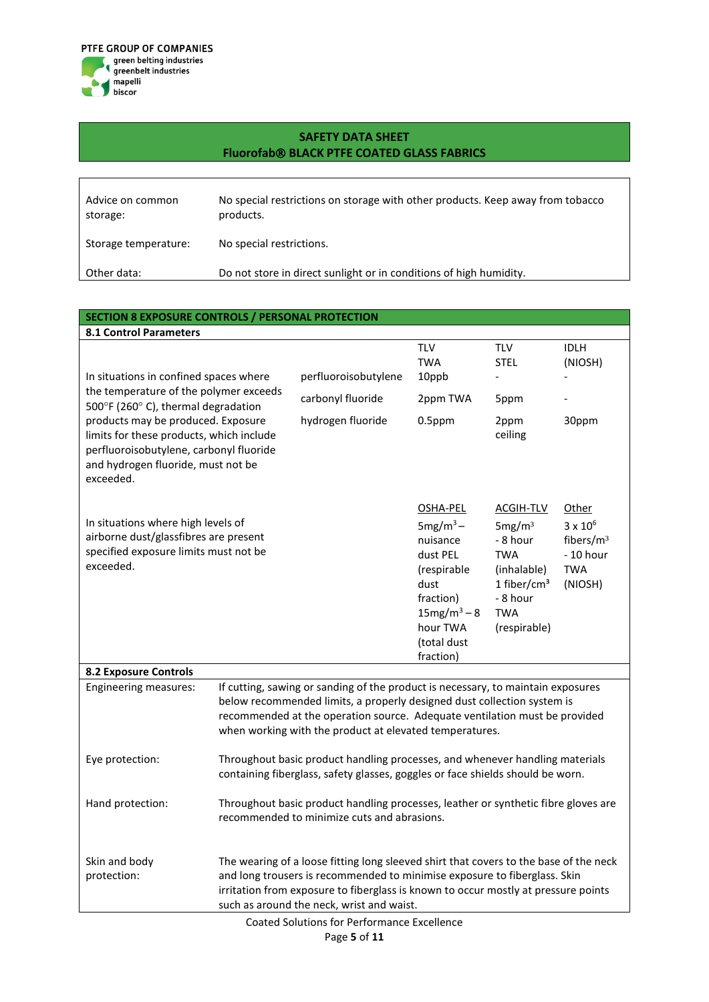

| Advice on common<br>storage: | No special restrictions on storage with other products. Keep away from tobacco<br>products. |
|------------------------------|---------------------------------------------------------------------------------------------|
| Storage temperature:         | No special restrictions.                                                                    |
| Other data:                  | Do not store in direct sunlight or in conditions of high humidity.                          |

#### **SECTION 8 EXPOSURE CONTROLS / PERSONAL PROTECTION**

| <b>8.1 Control Parameters</b>                                                                                                                                                                                                                                                                          |                                                                                                                                                                                                                                                                                                       |                                                                |                                                                                                                                               |                                                                                                                                      |                                                                                          |
|--------------------------------------------------------------------------------------------------------------------------------------------------------------------------------------------------------------------------------------------------------------------------------------------------------|-------------------------------------------------------------------------------------------------------------------------------------------------------------------------------------------------------------------------------------------------------------------------------------------------------|----------------------------------------------------------------|-----------------------------------------------------------------------------------------------------------------------------------------------|--------------------------------------------------------------------------------------------------------------------------------------|------------------------------------------------------------------------------------------|
| In situations in confined spaces where<br>the temperature of the polymer exceeds<br>500°F (260°C), thermal degradation<br>products may be produced. Exposure<br>limits for these products, which include<br>perfluoroisobutylene, carbonyl fluoride<br>and hydrogen fluoride, must not be<br>exceeded. |                                                                                                                                                                                                                                                                                                       | perfluoroisobutylene<br>carbonyl fluoride<br>hydrogen fluoride | <b>TLV</b><br><b>TWA</b><br>10ppb<br>2ppm TWA<br>$0.5$ ppm                                                                                    | <b>TLV</b><br><b>STEL</b><br>$\overline{\phantom{0}}$<br>5ppm<br>2ppm<br>ceiling                                                     | <b>IDLH</b><br>(NIOSH)<br>30ppm                                                          |
| In situations where high levels of<br>airborne dust/glassfibres are present<br>specified exposure limits must not be<br>exceeded.                                                                                                                                                                      |                                                                                                                                                                                                                                                                                                       |                                                                | OSHA-PEL<br>$5mg/m^3$ –<br>nuisance<br>dust PEL<br>(respirable<br>dust<br>fraction)<br>$15mg/m^3 - 8$<br>hour TWA<br>(total dust<br>fraction) | ACGIH-TLV<br>5mg/m <sup>3</sup><br>- 8 hour<br><b>TWA</b><br>(inhalable)<br>1 fiber/ $cm3$<br>- 8 hour<br><b>TWA</b><br>(respirable) | Other<br>$3 \times 10^6$<br>fibers/m <sup>3</sup><br>$-10$ hour<br><b>TWA</b><br>(NIOSH) |
| <b>8.2 Exposure Controls</b>                                                                                                                                                                                                                                                                           |                                                                                                                                                                                                                                                                                                       |                                                                |                                                                                                                                               |                                                                                                                                      |                                                                                          |
| <b>Engineering measures:</b>                                                                                                                                                                                                                                                                           | If cutting, sawing or sanding of the product is necessary, to maintain exposures<br>below recommended limits, a properly designed dust collection system is<br>recommended at the operation source. Adequate ventilation must be provided<br>when working with the product at elevated temperatures.  |                                                                |                                                                                                                                               |                                                                                                                                      |                                                                                          |
| Eye protection:                                                                                                                                                                                                                                                                                        | Throughout basic product handling processes, and whenever handling materials<br>containing fiberglass, safety glasses, goggles or face shields should be worn.                                                                                                                                        |                                                                |                                                                                                                                               |                                                                                                                                      |                                                                                          |
| Hand protection:                                                                                                                                                                                                                                                                                       | Throughout basic product handling processes, leather or synthetic fibre gloves are<br>recommended to minimize cuts and abrasions.                                                                                                                                                                     |                                                                |                                                                                                                                               |                                                                                                                                      |                                                                                          |
| Skin and body<br>protection:                                                                                                                                                                                                                                                                           | The wearing of a loose fitting long sleeved shirt that covers to the base of the neck<br>and long trousers is recommended to minimise exposure to fiberglass. Skin<br>irritation from exposure to fiberglass is known to occur mostly at pressure points<br>such as around the neck, wrist and waist. |                                                                |                                                                                                                                               |                                                                                                                                      |                                                                                          |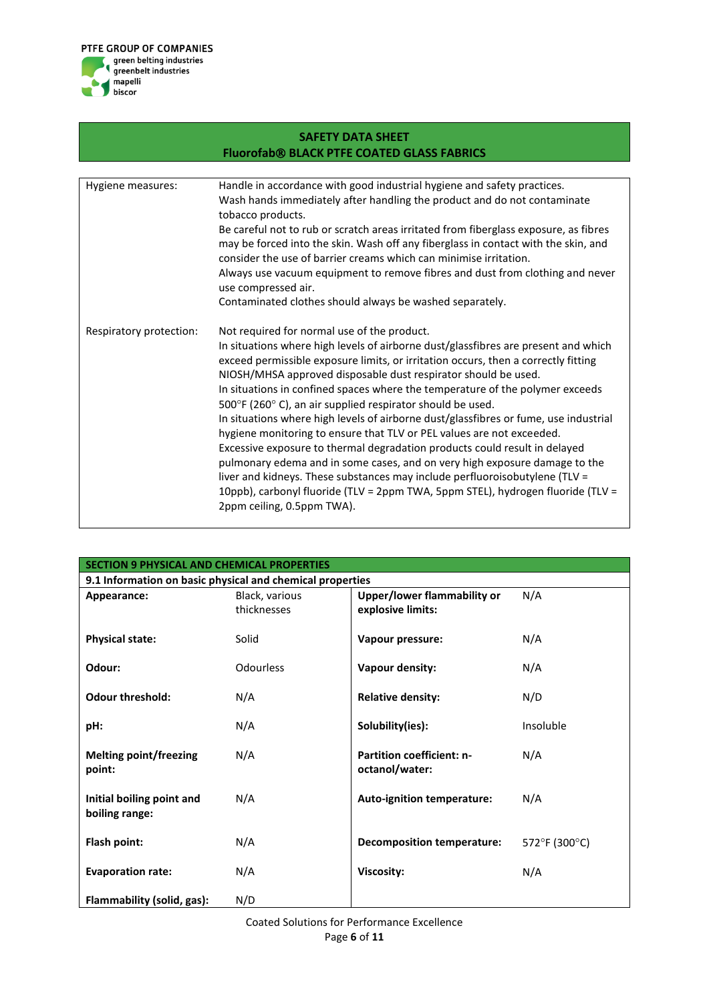

| <b>SAFETY DATA SHEET</b>                          |                                                                                                                                                                                                                                                                                                                                                                                                                                                                                                                                                                                                                                                                                                                                                                                                                                                                                                                                                                      |  |  |  |
|---------------------------------------------------|----------------------------------------------------------------------------------------------------------------------------------------------------------------------------------------------------------------------------------------------------------------------------------------------------------------------------------------------------------------------------------------------------------------------------------------------------------------------------------------------------------------------------------------------------------------------------------------------------------------------------------------------------------------------------------------------------------------------------------------------------------------------------------------------------------------------------------------------------------------------------------------------------------------------------------------------------------------------|--|--|--|
| <b>Fluorofab® BLACK PTFE COATED GLASS FABRICS</b> |                                                                                                                                                                                                                                                                                                                                                                                                                                                                                                                                                                                                                                                                                                                                                                                                                                                                                                                                                                      |  |  |  |
|                                                   |                                                                                                                                                                                                                                                                                                                                                                                                                                                                                                                                                                                                                                                                                                                                                                                                                                                                                                                                                                      |  |  |  |
| Hygiene measures:                                 | Handle in accordance with good industrial hygiene and safety practices.<br>Wash hands immediately after handling the product and do not contaminate<br>tobacco products.<br>Be careful not to rub or scratch areas irritated from fiberglass exposure, as fibres<br>may be forced into the skin. Wash off any fiberglass in contact with the skin, and<br>consider the use of barrier creams which can minimise irritation.<br>Always use vacuum equipment to remove fibres and dust from clothing and never<br>use compressed air.                                                                                                                                                                                                                                                                                                                                                                                                                                  |  |  |  |
|                                                   | Contaminated clothes should always be washed separately.                                                                                                                                                                                                                                                                                                                                                                                                                                                                                                                                                                                                                                                                                                                                                                                                                                                                                                             |  |  |  |
| Respiratory protection:                           | Not required for normal use of the product.<br>In situations where high levels of airborne dust/glassfibres are present and which<br>exceed permissible exposure limits, or irritation occurs, then a correctly fitting<br>NIOSH/MHSA approved disposable dust respirator should be used.<br>In situations in confined spaces where the temperature of the polymer exceeds<br>500°F (260°C), an air supplied respirator should be used.<br>In situations where high levels of airborne dust/glassfibres or fume, use industrial<br>hygiene monitoring to ensure that TLV or PEL values are not exceeded.<br>Excessive exposure to thermal degradation products could result in delayed<br>pulmonary edema and in some cases, and on very high exposure damage to the<br>liver and kidneys. These substances may include perfluoroisobutylene (TLV =<br>10ppb), carbonyl fluoride (TLV = 2ppm TWA, 5ppm STEL), hydrogen fluoride (TLV =<br>2ppm ceiling, 0.5ppm TWA). |  |  |  |

| <b>SECTION 9 PHYSICAL AND CHEMICAL PROPERTIES</b> |                                                           |                                   |               |  |  |  |
|---------------------------------------------------|-----------------------------------------------------------|-----------------------------------|---------------|--|--|--|
|                                                   | 9.1 Information on basic physical and chemical properties |                                   |               |  |  |  |
| Appearance:                                       | Black, various                                            | Upper/lower flammability or       | N/A           |  |  |  |
|                                                   | thicknesses                                               | explosive limits:                 |               |  |  |  |
|                                                   |                                                           |                                   |               |  |  |  |
| <b>Physical state:</b>                            | Solid                                                     | Vapour pressure:                  | N/A           |  |  |  |
|                                                   |                                                           |                                   |               |  |  |  |
| Odour:                                            | <b>Odourless</b>                                          | Vapour density:                   | N/A           |  |  |  |
|                                                   |                                                           |                                   |               |  |  |  |
| <b>Odour threshold:</b>                           | N/A                                                       | <b>Relative density:</b>          | N/D           |  |  |  |
|                                                   |                                                           |                                   |               |  |  |  |
| pH:                                               | N/A                                                       | Solubility(ies):                  | Insoluble     |  |  |  |
| <b>Melting point/freezing</b>                     | N/A                                                       | <b>Partition coefficient: n-</b>  | N/A           |  |  |  |
| point:                                            |                                                           | octanol/water:                    |               |  |  |  |
|                                                   |                                                           |                                   |               |  |  |  |
| Initial boiling point and                         | N/A                                                       | Auto-ignition temperature:        | N/A           |  |  |  |
| boiling range:                                    |                                                           |                                   |               |  |  |  |
|                                                   |                                                           |                                   |               |  |  |  |
| Flash point:                                      | N/A                                                       | <b>Decomposition temperature:</b> | 572°F (300°C) |  |  |  |
|                                                   |                                                           |                                   |               |  |  |  |
| <b>Evaporation rate:</b>                          | N/A                                                       | Viscosity:                        | N/A           |  |  |  |
|                                                   |                                                           |                                   |               |  |  |  |
| Flammability (solid, gas):                        | N/D                                                       |                                   |               |  |  |  |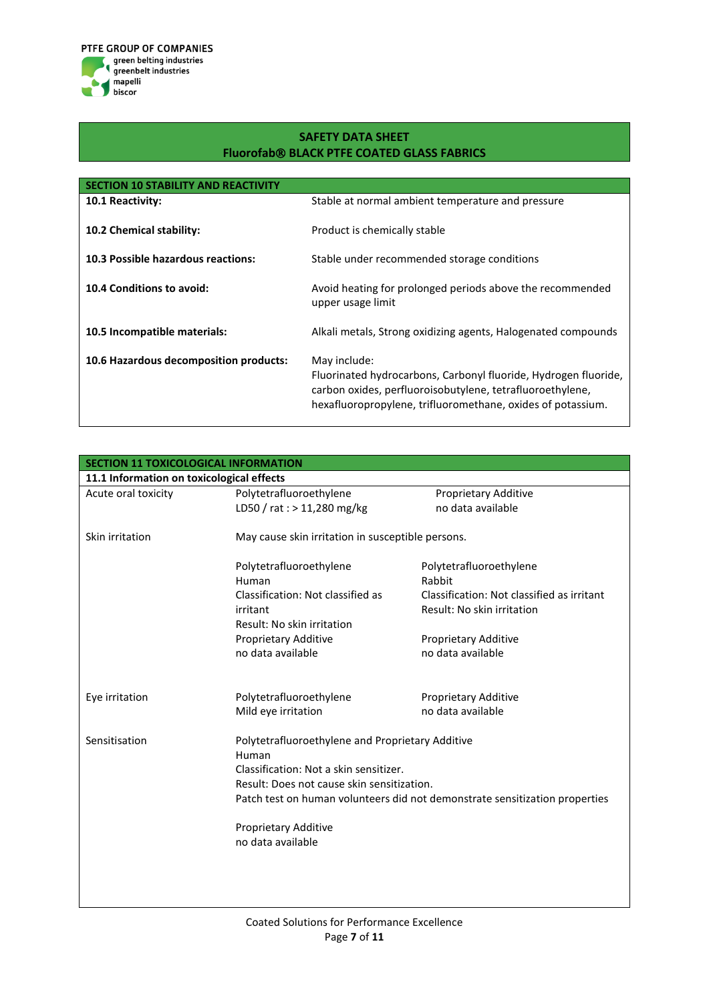

| <b>SECTION 10 STABILITY AND READ</b>   |                                                                                                                                                                                                             |
|----------------------------------------|-------------------------------------------------------------------------------------------------------------------------------------------------------------------------------------------------------------|
| <b>10.1 Reactivity:</b>                | Stable at normal ambient temperature and pressure                                                                                                                                                           |
| 10.2 Chemical stability:               | Product is chemically stable                                                                                                                                                                                |
| 10.3 Possible hazardous reactions:     | Stable under recommended storage conditions                                                                                                                                                                 |
| 10.4 Conditions to avoid:              | Avoid heating for prolonged periods above the recommended<br>upper usage limit                                                                                                                              |
| 10.5 Incompatible materials:           | Alkali metals, Strong oxidizing agents, Halogenated compounds                                                                                                                                               |
| 10.6 Hazardous decomposition products: | May include:<br>Fluorinated hydrocarbons, Carbonyl fluoride, Hydrogen fluoride,<br>carbon oxides, perfluoroisobutylene, tetrafluoroethylene,<br>hexafluoropropylene, trifluoromethane, oxides of potassium. |

| <b>SECTION 11 TOXICOLOGICAL INFORMATION</b> |                                                                             |                                            |  |  |
|---------------------------------------------|-----------------------------------------------------------------------------|--------------------------------------------|--|--|
|                                             | 11.1 Information on toxicological effects                                   |                                            |  |  |
| Acute oral toxicity                         | Polytetrafluoroethylene                                                     | <b>Proprietary Additive</b>                |  |  |
|                                             | LD50 / rat : > 11,280 mg/kg                                                 | no data available                          |  |  |
| Skin irritation                             | May cause skin irritation in susceptible persons.                           |                                            |  |  |
|                                             | Polytetrafluoroethylene                                                     | Polytetrafluoroethylene                    |  |  |
|                                             | Human                                                                       | Rabbit                                     |  |  |
|                                             | Classification: Not classified as                                           | Classification: Not classified as irritant |  |  |
|                                             | irritant                                                                    | Result: No skin irritation                 |  |  |
|                                             | Result: No skin irritation                                                  |                                            |  |  |
|                                             | Proprietary Additive                                                        | Proprietary Additive                       |  |  |
|                                             | no data available                                                           | no data available                          |  |  |
| Eye irritation                              | Polytetrafluoroethylene                                                     | Proprietary Additive                       |  |  |
|                                             | Mild eye irritation                                                         | no data available                          |  |  |
| Sensitisation                               | Polytetrafluoroethylene and Proprietary Additive<br>Human                   |                                            |  |  |
|                                             | Classification: Not a skin sensitizer.                                      |                                            |  |  |
|                                             | Result: Does not cause skin sensitization.                                  |                                            |  |  |
|                                             | Patch test on human volunteers did not demonstrate sensitization properties |                                            |  |  |
|                                             | Proprietary Additive                                                        |                                            |  |  |
|                                             | no data available                                                           |                                            |  |  |
|                                             |                                                                             |                                            |  |  |
|                                             |                                                                             |                                            |  |  |
|                                             |                                                                             |                                            |  |  |
|                                             |                                                                             |                                            |  |  |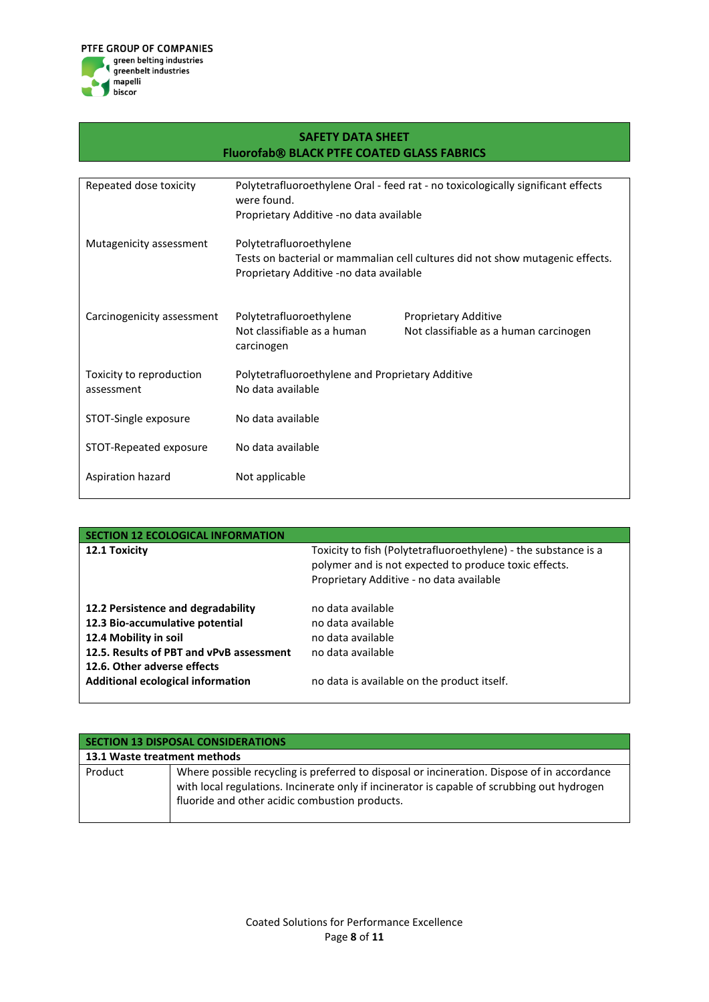

| <b>SAFETY DATA SHEET</b>                          |                                                  |                                                                                  |  |
|---------------------------------------------------|--------------------------------------------------|----------------------------------------------------------------------------------|--|
| <b>Fluorofab® BLACK PTFE COATED GLASS FABRICS</b> |                                                  |                                                                                  |  |
|                                                   |                                                  |                                                                                  |  |
| Repeated dose toxicity                            | were found.                                      | Polytetrafluoroethylene Oral - feed rat - no toxicologically significant effects |  |
|                                                   | Proprietary Additive -no data available          |                                                                                  |  |
| Mutagenicity assessment                           | Polytetrafluoroethylene                          |                                                                                  |  |
|                                                   |                                                  | Tests on bacterial or mammalian cell cultures did not show mutagenic effects.    |  |
|                                                   | Proprietary Additive -no data available          |                                                                                  |  |
| Carcinogenicity assessment                        | Polytetrafluoroethylene                          | Proprietary Additive                                                             |  |
|                                                   | Not classifiable as a human<br>carcinogen        | Not classifiable as a human carcinogen                                           |  |
| Toxicity to reproduction                          | Polytetrafluoroethylene and Proprietary Additive |                                                                                  |  |
| assessment                                        | No data available                                |                                                                                  |  |
| STOT-Single exposure                              | No data available                                |                                                                                  |  |
| STOT-Repeated exposure                            | No data available                                |                                                                                  |  |
| Aspiration hazard                                 | Not applicable                                   |                                                                                  |  |

| <b>SECTION 12 ECOLOGICAL INFORMATION</b>                                                                                                                                                                              |                                                                                                                                                                      |
|-----------------------------------------------------------------------------------------------------------------------------------------------------------------------------------------------------------------------|----------------------------------------------------------------------------------------------------------------------------------------------------------------------|
| 12.1 Toxicity                                                                                                                                                                                                         | Toxicity to fish (Polytetrafluoroethylene) - the substance is a<br>polymer and is not expected to produce toxic effects.<br>Proprietary Additive - no data available |
| 12.2 Persistence and degradability<br>12.3 Bio-accumulative potential<br>12.4 Mobility in soil<br>12.5. Results of PBT and vPvB assessment<br>12.6. Other adverse effects<br><b>Additional ecological information</b> | no data available<br>no data available<br>no data available<br>no data available<br>no data is available on the product itself.                                      |

| SECTION 13 DISPOSAL CONSIDERATIONS |                                                                                                                                                                                                                                              |  |  |
|------------------------------------|----------------------------------------------------------------------------------------------------------------------------------------------------------------------------------------------------------------------------------------------|--|--|
| 13.1 Waste treatment methods       |                                                                                                                                                                                                                                              |  |  |
| Product                            | Where possible recycling is preferred to disposal or incineration. Dispose of in accordance<br>with local regulations. Incinerate only if incinerator is capable of scrubbing out hydrogen<br>fluoride and other acidic combustion products. |  |  |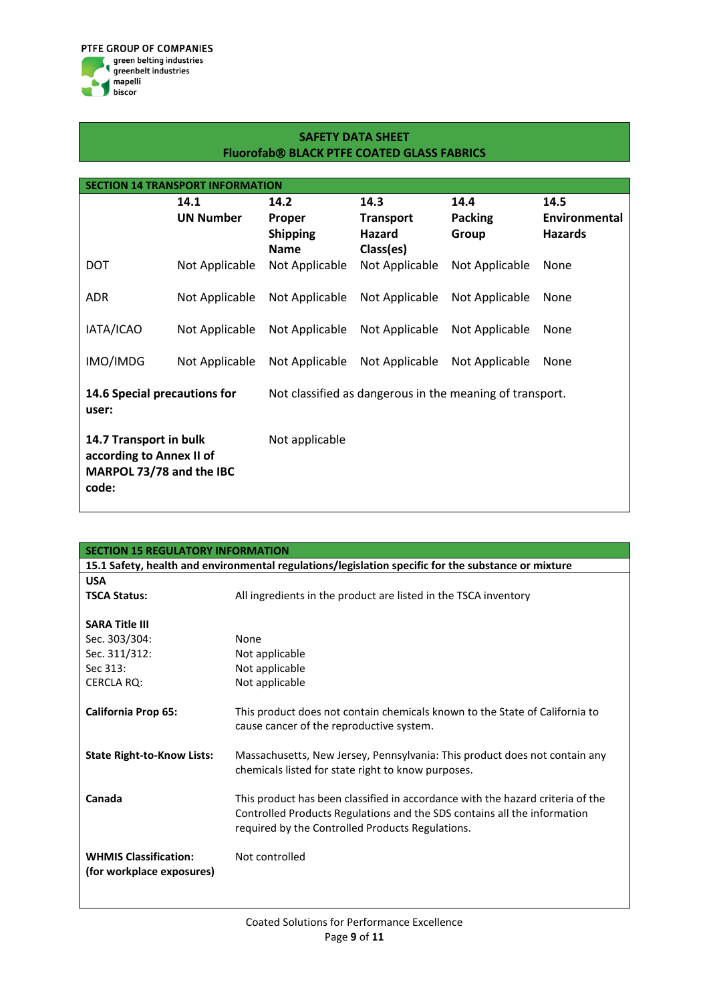| <b>SECTION 14 TRANSPORT INFORMATION</b>                                                           |                  |                           |                            |                         |                                 |
|---------------------------------------------------------------------------------------------------|------------------|---------------------------|----------------------------|-------------------------|---------------------------------|
|                                                                                                   | 14.1             | 14.2                      | 14.3                       | 14.4                    | 14.5                            |
|                                                                                                   | <b>UN Number</b> | Proper<br><b>Shipping</b> | <b>Transport</b><br>Hazard | <b>Packing</b><br>Group | Environmental<br><b>Hazards</b> |
|                                                                                                   |                  | <b>Name</b>               | Class(es)                  |                         |                                 |
| <b>DOT</b>                                                                                        | Not Applicable   | Not Applicable            | Not Applicable             | Not Applicable          | None                            |
| ADR                                                                                               | Not Applicable   | Not Applicable            | Not Applicable             | Not Applicable          | None                            |
| IATA/ICAO                                                                                         | Not Applicable   | Not Applicable            | Not Applicable             | Not Applicable          | None                            |
| IMO/IMDG                                                                                          | Not Applicable   | Not Applicable            | Not Applicable             | Not Applicable          | None                            |
| 14.6 Special precautions for<br>Not classified as dangerous in the meaning of transport.<br>user: |                  |                           |                            |                         |                                 |
| 14.7 Transport in bulk<br>according to Annex II of<br>MARPOL 73/78 and the IBC<br>code:           |                  | Not applicable            |                            |                         |                                 |

| <b>SECTION 15 REGULATORY INFORMATION</b> |                                                                                                     |  |  |
|------------------------------------------|-----------------------------------------------------------------------------------------------------|--|--|
|                                          | 15.1 Safety, health and environmental regulations/legislation specific for the substance or mixture |  |  |
| <b>USA</b>                               |                                                                                                     |  |  |
| <b>TSCA Status:</b>                      | All ingredients in the product are listed in the TSCA inventory                                     |  |  |
|                                          |                                                                                                     |  |  |
| <b>SARA Title III</b>                    |                                                                                                     |  |  |
| Sec. 303/304:                            | None                                                                                                |  |  |
| Sec. 311/312:                            | Not applicable                                                                                      |  |  |
| Sec 313:                                 | Not applicable                                                                                      |  |  |
| <b>CERCLA RQ:</b>                        | Not applicable                                                                                      |  |  |
|                                          |                                                                                                     |  |  |
| <b>California Prop 65:</b>               | This product does not contain chemicals known to the State of California to                         |  |  |
|                                          | cause cancer of the reproductive system.                                                            |  |  |
|                                          |                                                                                                     |  |  |
| <b>State Right-to-Know Lists:</b>        | Massachusetts, New Jersey, Pennsylvania: This product does not contain any                          |  |  |
|                                          | chemicals listed for state right to know purposes.                                                  |  |  |
|                                          |                                                                                                     |  |  |
| Canada                                   | This product has been classified in accordance with the hazard criteria of the                      |  |  |
|                                          | Controlled Products Regulations and the SDS contains all the information                            |  |  |
|                                          | required by the Controlled Products Regulations.                                                    |  |  |
| <b>WHMIS Classification:</b>             | Not controlled                                                                                      |  |  |
|                                          |                                                                                                     |  |  |
| (for workplace exposures)                |                                                                                                     |  |  |
|                                          |                                                                                                     |  |  |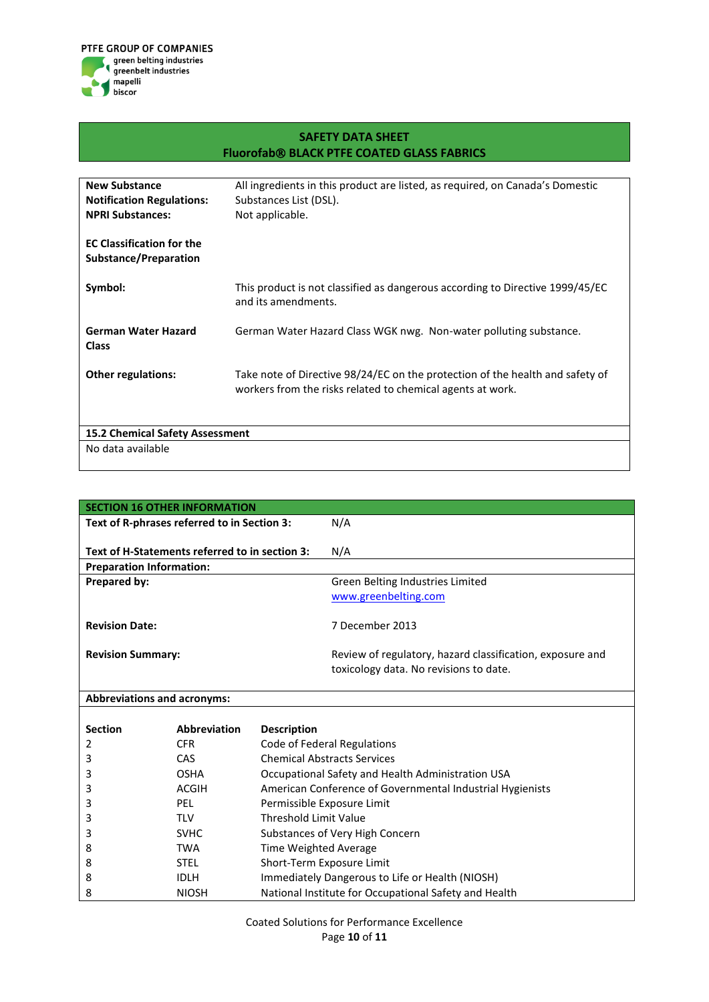

| <b>New Substance</b>                   | All ingredients in this product are listed, as required, on Canada's Domestic                        |
|----------------------------------------|------------------------------------------------------------------------------------------------------|
| <b>Notification Regulations:</b>       | Substances List (DSL).                                                                               |
| <b>NPRI Substances:</b>                | Not applicable.                                                                                      |
|                                        |                                                                                                      |
| <b>EC Classification for the</b>       |                                                                                                      |
| Substance/Preparation                  |                                                                                                      |
|                                        |                                                                                                      |
| Symbol:                                | This product is not classified as dangerous according to Directive 1999/45/EC<br>and its amendments. |
|                                        |                                                                                                      |
| <b>German Water Hazard</b>             | German Water Hazard Class WGK nwg. Non-water polluting substance.                                    |
| <b>Class</b>                           |                                                                                                      |
|                                        |                                                                                                      |
| <b>Other regulations:</b>              | Take note of Directive 98/24/EC on the protection of the health and safety of                        |
|                                        | workers from the risks related to chemical agents at work.                                           |
|                                        |                                                                                                      |
|                                        |                                                                                                      |
| <b>15.2 Chemical Safety Assessment</b> |                                                                                                      |
| No data available                      |                                                                                                      |

| <b>SECTION 16 OTHER INFORMATION</b>            |                                                           |
|------------------------------------------------|-----------------------------------------------------------|
| Text of R-phrases referred to in Section 3:    | N/A                                                       |
|                                                |                                                           |
| Text of H-Statements referred to in section 3: | N/A                                                       |
| <b>Preparation Information:</b>                |                                                           |
| <b>Prepared by:</b>                            | Green Belting Industries Limited                          |
|                                                | www.greenbelting.com                                      |
|                                                |                                                           |
| <b>Revision Date:</b>                          | 7 December 2013                                           |
|                                                |                                                           |
| <b>Revision Summary:</b>                       | Review of regulatory, hazard classification, exposure and |
|                                                | toxicology data. No revisions to date.                    |
|                                                |                                                           |

## **Abbreviations and acronyms:**

| <b>Section</b> | <b>Abbreviation</b> | <b>Description</b>                                        |
|----------------|---------------------|-----------------------------------------------------------|
| 2              | CFR.                | Code of Federal Regulations                               |
| 3              | <b>CAS</b>          | <b>Chemical Abstracts Services</b>                        |
| 3              | <b>OSHA</b>         | Occupational Safety and Health Administration USA         |
| 3              | ACGIH               | American Conference of Governmental Industrial Hygienists |
| 3              | <b>PEL</b>          | Permissible Exposure Limit                                |
| 3              | <b>TLV</b>          | Threshold Limit Value                                     |
| 3              | <b>SVHC</b>         | Substances of Very High Concern                           |
| 8              | <b>TWA</b>          | Time Weighted Average                                     |
| 8              | <b>STEL</b>         | Short-Term Exposure Limit                                 |
| 8              | <b>IDLH</b>         | Immediately Dangerous to Life or Health (NIOSH)           |
| 8              | <b>NIOSH</b>        | National Institute for Occupational Safety and Health     |

Coated Solutions for Performance Excellence Page **10** of **11**